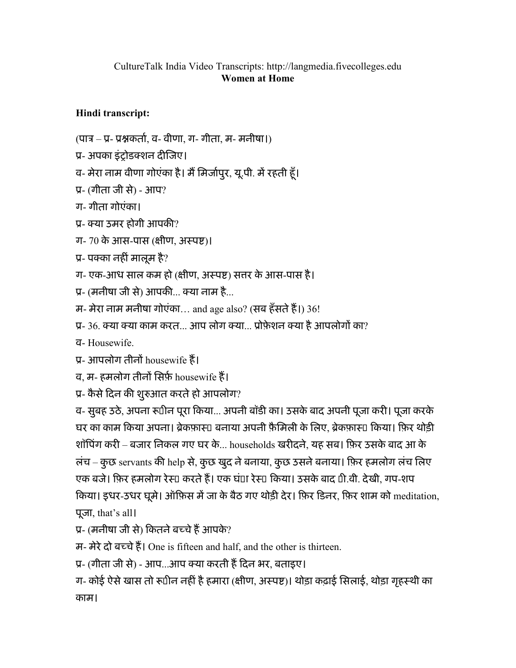## CultureTalk India Video Transcripts: http://langmedia.fivecolleges.edu Women at Home

## Hindi transcript:

- (पात्र प्र- प्रश्नकर्ता, व- वीणा, ग- गीता, म- मनीषा।)
- ू- अपका इंशोडशन दीिजए।
- व- मेरा नाम वीणा गोएंका है। मैं मिर्जापुर, यू.पी. में रहती हूँ।
- ू- (गीता जी से) आप?
- ग- गीता गोएंका।
- ू- या उमर होगी आपकी?
- ग- 70 के आस-पास (क्षीण, अस्पष्ट)।
- प्र- पक्का नहीं मालूम है?
- ग- एक-आध साल कम हो (क्षीण, अस्पष्ट) सत्तर के आस-पास है।
- प्र- (मनीषा जी से) आपकी... क्या नाम है...
- म- मेरा नाम मनीषा गोएंका... and age also? (सब हँसते हैं।) 36!
- प्र- 36. क्या क्या काम करत... आप लोग क्या... प्रोफ़ेशन क्या है आपलोगों का?
- व- Housewife.
- प्र- आपलोग तीनों housewife हैं।
- व, म- हमलोग तीनों सिर्फ़ housewife हैं।
- प्र- कैसे दिन की शुरुआत करते हो आपलोग?

व- सुबह उठे, अपना रूपीन पूरा किया... अपनी बॉडी का। उसके बाद अपनी पूजा करी। पूजा करके घर का काम किया अपना। ब्रेकफ़ास्⊔ बनाया अपनी फ़ैमिली के लिए, ब्रेकफ़ास्⊔ किया। फ़िर थोड़ी शॉिपंग करी – बजार िनकल गए घर के... households खरीदने, यह सब। िफ़र उसके बाद आ के लंच – कुछ servants की help से, कुछ खुद ने बनाया, कुछ उसने बनाया। फ़िर हमलोग लंच लिए एक बजे। फ़िर हमलोग रेस्ा करते हैं। एक घंाा रेस्ा किया। उसके बाद 1ी.वी. देखी, गप-शप िकया। इधर-उधर घूमे। ऑिफ़स म'जा के बैठ गए थोड़ी देर। िफ़र िडनर, िफ़र शाम को meditation, पूजा, that's all।

प्र- (मनीषा जी से) कितने बच्चे हैं आपके?

म- मेरे दो बच्चे हैं। One is fifteen and half, and the other is thirteen.

प्र- (गीता जी से) - आप...आप क्या करती हैं दिन भर, बताइए।

ग- कोई ऐसे खास तो रूपीन नहीं है हमारा (क्षीण, अस्पष्ट)। थोड़ा कढ़ाई सिलाई, थोड़ा गृहस्थी का काम।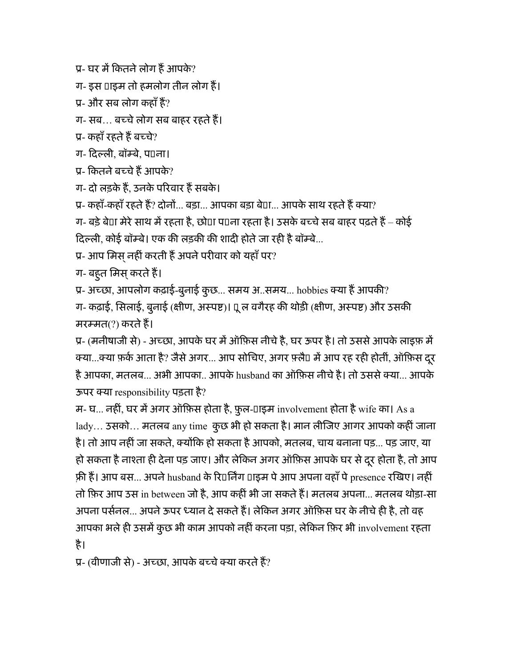प्र- घर में कितने लोग हैं आपके?

ग- इस  $\Box$ ाइम तो हमलोग तीन लोग हैं।

प्र- और सब लोग कहाँ हैं?

ग- सब… बच्चे लोग सब बाहर रहते हैं।

प्र- कहाँ रहते हैं बच्चे?

ग- दिल्ली, बॉम्बे, प⊔ना।

प्र- कितने बच्चे हैं आपके?

ग- दो लड़के हैं, उनके परिवार हैं सबके।

प्र- कहाँ-कहाँ रहते हैं? दोनों... बड़ा... आपका बड़ा बे0ा... आपके साथ रहते हैं क्या?

ग- बड़े बे0ा मेरे साथ में रहता है, छो0ा प0ना रहता है। उसके बच्चे सब बाहर पढ़ते हैं – कोई दिल्ली, कोई बॉम्बे। एक की लड़की की शादी होते जा रही है बॉम्बे...

प्र- आप मिस् नहीं करती हैं अपने परीवार को यहाँ पर?

ग- बहुत मिस् करते हैं।

प्र- अच्छा, आपलोग कढ़ाई-बुनाई कुछ... समय अ..समय... hobbies क्या हैं आपकी?

ग- कढ़ाई, सिलाई, बुनाई (क्षीण, अस्पष्ट)। पू ल वगैरह की थोड़ी (क्षीण, अस्पष्ट) और उसकी मरम्मत(?) करते हैं।

प्र- (मनीषाजी से) - अच्छा, आपके घर में ऑफ़िस नीचे है, घर ऊपर है। तो उससे आपके लाइफ़ में क्या...क्या फ़र्क आता है? जैसे अगर... आप सोचिए, अगर फ़्लैं। में आप रह रही होतीं, ऑफ़िस दूर है आपका, मतलब... अभी आपका.. आपके husband का ऑफ़िस नीचे है। तो उससे क्या... आपके ऊपर या responsibility पड़ता है?

म- घ... नहीं, घर में अगर ऑफ़िस होता है, फ़ुल-Uाइम involvement होता है wife का। As a lady... उसको... मतलब any time कुछ भी हो सकता है। मान लीजिए आगर आपको कहीं जाना है। तो आप नहीं जा सकते, क्योंकि हो सकता है आपको, मतलब, चाय बनाना पड़... पड़ जाए, या हो सकता है नाश्ता ही देना पड़ जाए। और लेकिन अगर ऑफ़िस आपके घर से दूर होता है, तो आप फ़ी हैं। आप बस... अपने husband के रि¤र्निंग ¤ाइम पे आप अपना वहाँ पे presence रखिए। नहीं तो िफ़र आप उस in between जो है, आप कहींभी जा सकतेह"। मतलब अपना... मतलब थोड़ा-सा अपना पर्सनल... अपने ऊपर ध्यान दे सकते हैं। लेकिन अगर ऑफ़िस घर के नीचे ही है, तो वह आपका भले ही उसमें कुछ भी काम आपको नहीं करना पड़ा, लेकिन फ़िर भी involvement रहता है।

प्र- (वीणाजी से) - अच्छा, आपके बच्चे क्या करते हैं?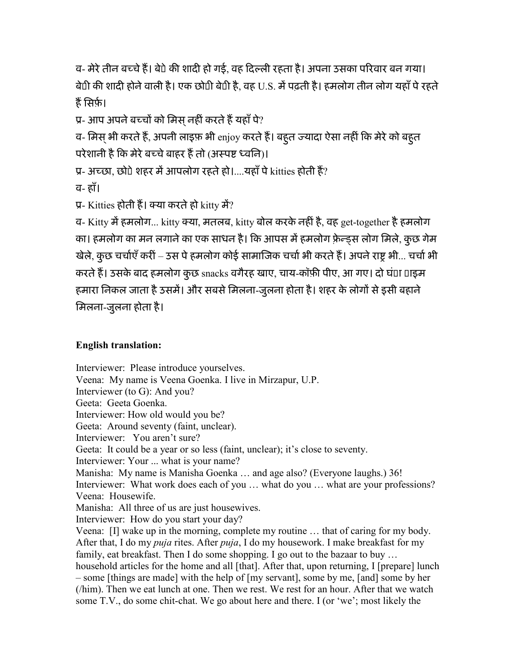व- मेरे तीन बच्चे हैं। बेपे की शादी हो गई, वह दिल्ली रहता है। अपना उसका परिवार बन गया। बेटी की शादी होनेवाली है। एक छोटी बेटी है, वह U.S. म'पढ़ती है। हमलोग तीन लोग यहाँपेरहते हैं सिर्फ़।

प्र- आप अपने बच्चों को मिस नहीं करते हैं यहाँ पे?

व- मिस् भी करते हैं, अपनी लाइफ़ भी enjoy करते हैं। बहुत ज्यादा ऐसा नहीं कि मेरे को बहुत परेशानी है कि मेरे बच्चे बाहर हैं तो (अस्पष्ट ध्वनि)।

प्र- अच्छा, छोपे शहर में आपलोग रहते हो।....यहाँ पे kitties होती हैं?

व- हाँ।

प्र- Kitties होती हैं। क्या करते हो kitty में?

व- Kitty म'हमलोग... kitty या, मतलब, kitty बोल करके नहींहै, वह get-together हैहमलोग का। हमलोग का मन लगाने का एक साधन है। कि आपस में हमलोग फ़्रेन्ड्स लोग मिले, कुछ गेम खेले, कुछ चर्चाएँ करीं – उस पे हमलोग कोई सामाजिक चर्चा भी करते हैं। अपने राष्ट्र भी... चर्चा भी करते हैं। उसके बाद हमलोग कुछ snacks वगैरह खाए, चाय-कॉफ़ी पीए, आ गए। दो घं**□**ा □ाइम हमारा निकल जाता है उसमें। और सबसे मिलना-जुलना होता है। शहर के लोगों से इसी बहाने िमलना-जुलना होता है।

## English translation:

Interviewer: Please introduce yourselves. Veena: My name is Veena Goenka. I live in Mirzapur, U.P. Interviewer (to G): And you? Geeta: Geeta Goenka. Interviewer: How old would you be? Geeta: Around seventy (faint, unclear). Interviewer: You aren't sure? Geeta: It could be a year or so less (faint, unclear); it's close to seventy. Interviewer: Your ... what is your name? Manisha: My name is Manisha Goenka … and age also? (Everyone laughs.) 36! Interviewer: What work does each of you ... what do you ... what are your professions? Veena: Housewife. Manisha: All three of us are just housewives. Interviewer: How do you start your day? Veena: [I] wake up in the morning, complete my routine … that of caring for my body. After that, I do my *puja* rites. After *puja*, I do my housework. I make breakfast for my family, eat breakfast. Then I do some shopping. I go out to the bazaar to buy … household articles for the home and all [that]. After that, upon returning, I [prepare] lunch – some [things are made] with the help of [my servant], some by me, [and] some by her (/him). Then we eat lunch at one. Then we rest. We rest for an hour. After that we watch some T.V., do some chit-chat. We go about here and there. I (or 'we'; most likely the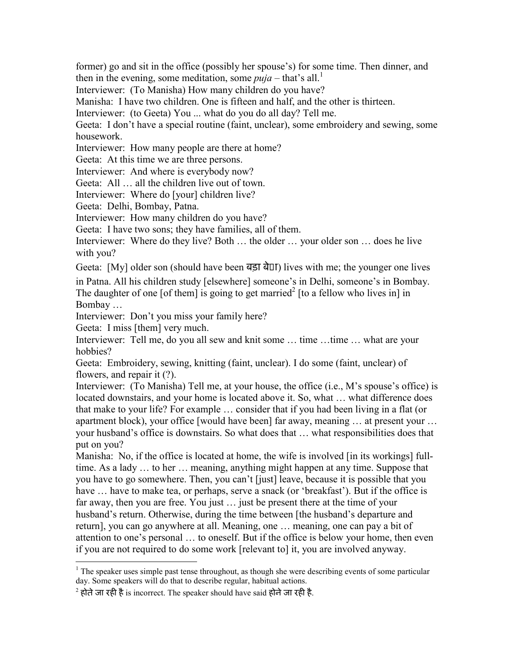former) go and sit in the office (possibly her spouse's) for some time. Then dinner, and then in the evening, some meditation, some  $puja$  – that's all.<sup>1</sup>

Interviewer: (To Manisha) How many children do you have?

Manisha: I have two children. One is fifteen and half, and the other is thirteen.

Interviewer: (to Geeta) You ... what do you do all day? Tell me.

Geeta: I don't have a special routine (faint, unclear), some embroidery and sewing, some housework.

Interviewer: How many people are there at home?

Geeta: At this time we are three persons.

Interviewer: And where is everybody now?

Geeta: All … all the children live out of town.

Interviewer: Where do [your] children live?

Geeta: Delhi, Bombay, Patna.

Interviewer: How many children do you have?

Geeta: I have two sons; they have families, all of them.

Interviewer: Where do they live? Both … the older … your older son … does he live with you?

Geeta: [My] older son (should have been बड़ा बेटा) lives with me; the younger one lives in Patna. All his children study [elsewhere] someone's in Delhi, someone's in Bombay. The daughter of one [of them] is going to get married<sup>2</sup> [to a fellow who lives in] in

Bombay …

 $\overline{a}$ 

Interviewer: Don't you miss your family here?

Geeta: I miss [them] very much.

Interviewer: Tell me, do you all sew and knit some ... time ... time ... what are your hobbies?

Geeta: Embroidery, sewing, knitting (faint, unclear). I do some (faint, unclear) of flowers, and repair it (?).

Interviewer: (To Manisha) Tell me, at your house, the office (i.e., M's spouse's office) is located downstairs, and your home is located above it. So, what … what difference does that make to your life? For example … consider that if you had been living in a flat (or apartment block), your office [would have been] far away, meaning … at present your … your husband's office is downstairs. So what does that … what responsibilities does that put on you?

Manisha: No, if the office is located at home, the wife is involved [in its workings] fulltime. As a lady … to her … meaning, anything might happen at any time. Suppose that you have to go somewhere. Then, you can't [just] leave, because it is possible that you have ... have to make tea, or perhaps, serve a snack (or 'breakfast'). But if the office is far away, then you are free. You just … just be present there at the time of your husband's return. Otherwise, during the time between [the husband's departure and return], you can go anywhere at all. Meaning, one … meaning, one can pay a bit of attention to one's personal … to oneself. But if the office is below your home, then even if you are not required to do some work [relevant to] it, you are involved anyway.

 $1$  The speaker uses simple past tense throughout, as though she were describing events of some particular day. Some speakers will do that to describe regular, habitual actions.

 $^2$  होते जा रही है is incorrect. The speaker should have said होने जा रही है.